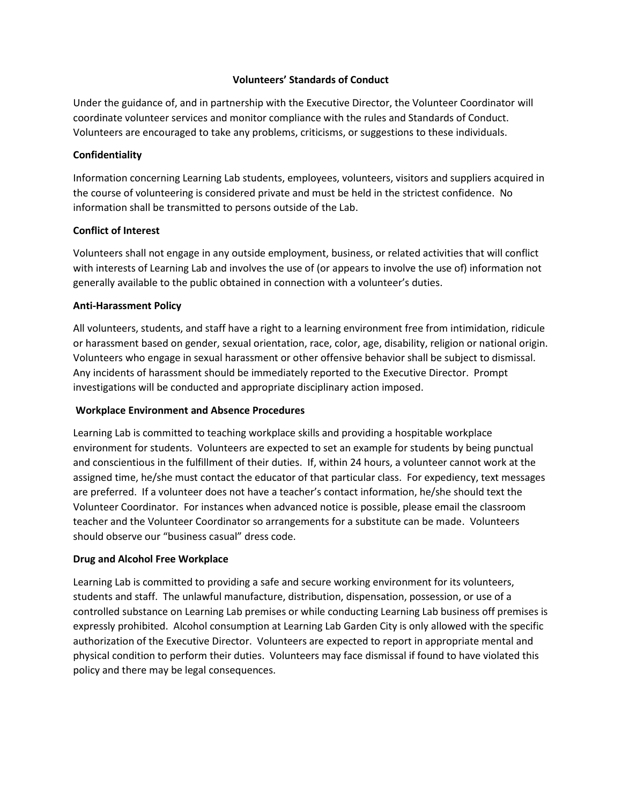### **Volunteers' Standards of Conduct**

Under the guidance of, and in partnership with the Executive Director, the Volunteer Coordinator will coordinate volunteer services and monitor compliance with the rules and Standards of Conduct. Volunteers are encouraged to take any problems, criticisms, or suggestions to these individuals.

### **Confidentiality**

Information concerning Learning Lab students, employees, volunteers, visitors and suppliers acquired in the course of volunteering is considered private and must be held in the strictest confidence. No information shall be transmitted to persons outside of the Lab.

## **Conflict of Interest**

Volunteers shall not engage in any outside employment, business, or related activities that will conflict with interests of Learning Lab and involves the use of (or appears to involve the use of) information not generally available to the public obtained in connection with a volunteer's duties.

## **Anti-Harassment Policy**

All volunteers, students, and staff have a right to a learning environment free from intimidation, ridicule or harassment based on gender, sexual orientation, race, color, age, disability, religion or national origin. Volunteers who engage in sexual harassment or other offensive behavior shall be subject to dismissal. Any incidents of harassment should be immediately reported to the Executive Director. Prompt investigations will be conducted and appropriate disciplinary action imposed.

# **Workplace Environment and Absence Procedures**

Learning Lab is committed to teaching workplace skills and providing a hospitable workplace environment for students. Volunteers are expected to set an example for students by being punctual and conscientious in the fulfillment of their duties. If, within 24 hours, a volunteer cannot work at the assigned time, he/she must contact the educator of that particular class. For expediency, text messages are preferred. If a volunteer does not have a teacher's contact information, he/she should text the Volunteer Coordinator. For instances when advanced notice is possible, please email the classroom teacher and the Volunteer Coordinator so arrangements for a substitute can be made. Volunteers should observe our "business casual" dress code.

### **Drug and Alcohol Free Workplace**

Learning Lab is committed to providing a safe and secure working environment for its volunteers, students and staff. The unlawful manufacture, distribution, dispensation, possession, or use of a controlled substance on Learning Lab premises or while conducting Learning Lab business off premises is expressly prohibited. Alcohol consumption at Learning Lab Garden City is only allowed with the specific authorization of the Executive Director. Volunteers are expected to report in appropriate mental and physical condition to perform their duties. Volunteers may face dismissal if found to have violated this policy and there may be legal consequences.